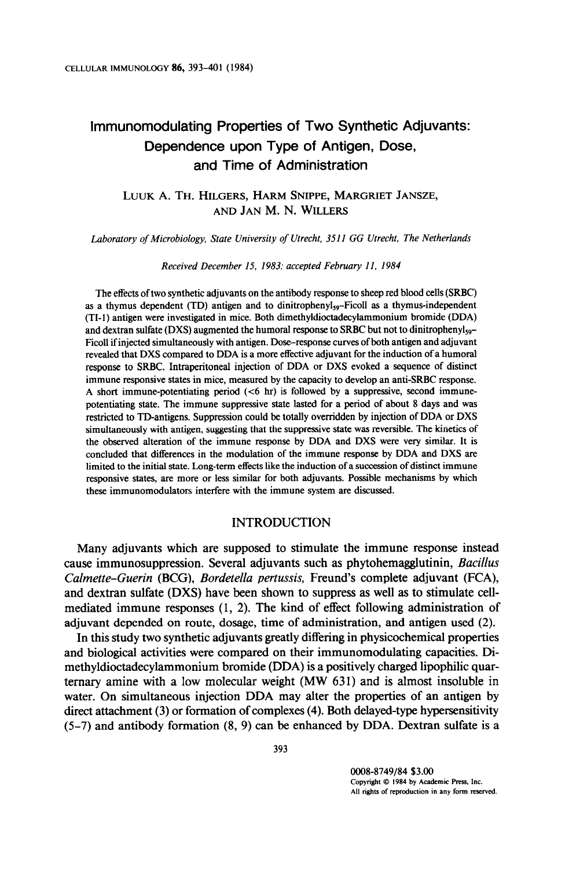# lmmunomodulating Properties of Two Synthetic Adjuvants: Dependence upon Type of Antigen, Dose, and Time of Administration

# LUUK A. TH. HILGERS, HARM SNIPPE, MARGRIET JANSZE, AND JAN M. N. WILLERS

Laboratory of Microbiology, State University of Utrecht, 3511 GG Vtrecht, The Netherlands

Received December 15, 1983; accepted February 11, 1984

The effects of two synthetic adjuvants on the antibody response to sheep red blood cells (SRBC) as a thymus dependent (TD) antigen and to dinitrophenyl<sub>s9</sub>-Ficoll as a thymus-independent (TI-1) antigen were investigated in mice. Both dimethyldioctadecylammonium bromide (DDA) and dextran sulfate (DXS) augmented the humoral response to SRBC but not to dinitrophenyl<sub>99</sub>-Ficoll if injected simultaneously with antigen. Dose-response curves of both antigen and adjuvant revealed that DXS compared to DDA is a more effective adjuvant for the induction of a humoral response to SRBC. Intraperitoneal injection of DDA or DXS evoked a sequence of distinct immune responsive states in mice, measured by the capacity to develop an anti-SRBC response. A short immune-potentiating period  $\langle$  <6 hr) is followed by a suppressive, second immunepotentiating state. The immune suppressive state lasted for a period of about 8 days and was restricted to TD-antigens. Suppression could be totally overridden by injection of DDA or DXS simultaneously with antigen, suggesting that the suppressive state was reversible. The kinetics of the observed alteration of the immune response by DDA and DXS were very similar. It is concluded that differences in the modulation of the immune response by DDA and DXS are limited to the initial state. Long-term effects like the induction of a succession of distinct immune responsive states, are more or less similar for both adjuvants. Possible mechanisms by which these immunomodulators interfere with the immune system are discussed.

#### INTRODUCTION

Many adjuvants which are supposed to stimulate the immune response instead cause immunosuppression. Several adjuvants such as phytohemagglutinin, Bacillus Calmette-Guerin (BCG), Bordetella pertussis, Freund's complete adjuvant (FCA), and dextran sulfate (DXS) have been shown to suppress as well as to stimulate cellmediated immune responses (1, 2). The kind of effect following administration of adjuvant depended on route, dosage, time of administration, and antigen used (2).

In this study two synthetic adjuvants greatly differing in physicochemical properties and biological activities were compared on their immunomodulating capacities. Dimethyldioctadecylammonium bromide (DDA) is a positively charged lipophilic quarternary amine with a low molecular weight (MW 631) and is almost insoluble in water. On simultaneous injection DDA may alter the properties of an antigen by direct attachment (3) or formation of complexes (4). Both delayed-type hypersensitivity (5-7) and antibody formation (8, 9) can be enhanced by DDA. Dextran sulfate is a

000%8749/84 \$3.00 Copyright Q 1984 by Academic Press. Inc. All rights of reproduction in any form reserved.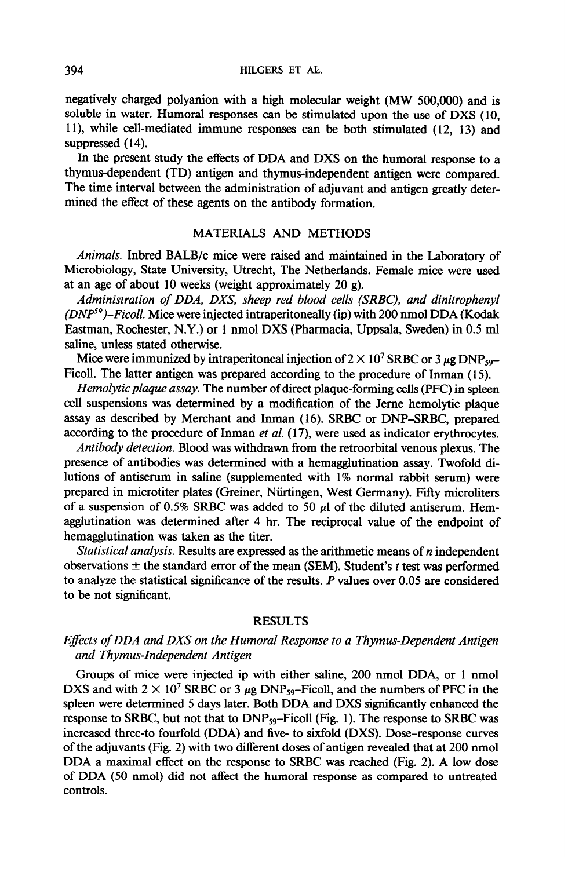negatively charged polyanion with a high molecular weight (MW 500,000) and is soluble in water. Humoral responses can be stimulated upon the use of DXS (10, 1 l), while cell-mediated immune responses can be both stimulated (12, 13) and suppressed  $(14)$ .

In the present study the effects of DDA and DXS on the humoral response to a thymus-dependent (TD) antigen and thymus-independent antigen were compared. The time interval between the administration of adjuvant and antigen greatly determined the effect of these agents on the antibody formation.

# MATERIALS AND METHODS

Animals. Inbred BALB/c mice were raised and maintained in the Laboratory of Microbiology, State University, Utrecht, The Netherlands. Female mice were used at an age of about 10 weeks (weight approximately 20 g).

Administration of DDA, DXS, sheep red blood cells (SRBC), and dinitrophenyl  $(DNP<sup>9</sup>)$ -Ficoll. Mice were injected intraperitoneally (ip) with 200 nmol DDA (Kodak Eastman, Rochester, N.Y.) or 1 nmol DXS (Pharmacia, Uppsala, Sweden) in 0.5 ml saline, unless stated otherwise.

Mice were immunized by intraperitoneal injection of  $2 \times 10^7$  SRBC or 3  $\mu$ g DNP<sub>59</sub>-Ficoll. The latter antigen was prepared according to the procedure of Inman (15).

Hemolytic plaque assay. The number of direct plaque-forming cells (PFC) in spleen cell suspensions was determined by a modification of the Jeme hemolytic plaque assay as described by Merchant and Inman (16). SRBC or DNP-SRBC, prepared according to the procedure of Inman et al. (17), were used as indicator erythrocytes.

Antibody detection. Blood was withdrawn from the retroorbital venous plexus. The presence of antibodies was determined with a hemagglutination assay. Twofold dilutions of antiserum in saline (supplemented with 1% normal rabbit serum) were prepared in microtiter plates (Greiner, Niirtingen, West Germany). Fifty microliters of a suspension of 0.5% SRBC was added to 50  $\mu$ l of the diluted antiserum. Hemagglutination was determined after 4 hr. The reciprocal value of the endpoint of hemagglutination was taken as the titer.

Statistical analysis. Results are expressed as the arithmetic means of  $n$  independent observations  $\pm$  the standard error of the mean (SEM). Student's t test was performed to analyze the statistical significance of the results. P values over 0.05 are considered to be not significant.

## RESULTS

# Eflects of DDA and DXS on the Humoral Response to a Thymus-Dependent Antigen and Thymus-Independent Antigen

Groups of mice were injected ip with either saline, 200 nmol DDA, or 1 nmol DXS and with  $2 \times 10^7$  SRBC or 3  $\mu$ g DNP<sub>59</sub>-Ficoll, and the numbers of PFC in the spleen were determined 5 days later. Both DDA and DXS significantly enhanced the response to SRBC, but not that to  $DNP_{59}$ -Ficoll (Fig. 1). The response to SRBC was increased three-to fourfold (DDA) and five- to sixfold (DXS). Dose-response curves of the adjuvants (Fig. 2) with two different doses of antigen revealed that at 200 nmol DDA a maximal effect on the response to SRBC was reached (Fig. 2). A low dose of DDA (50 nmol) did not affect the humoral response as compared to untreated controls.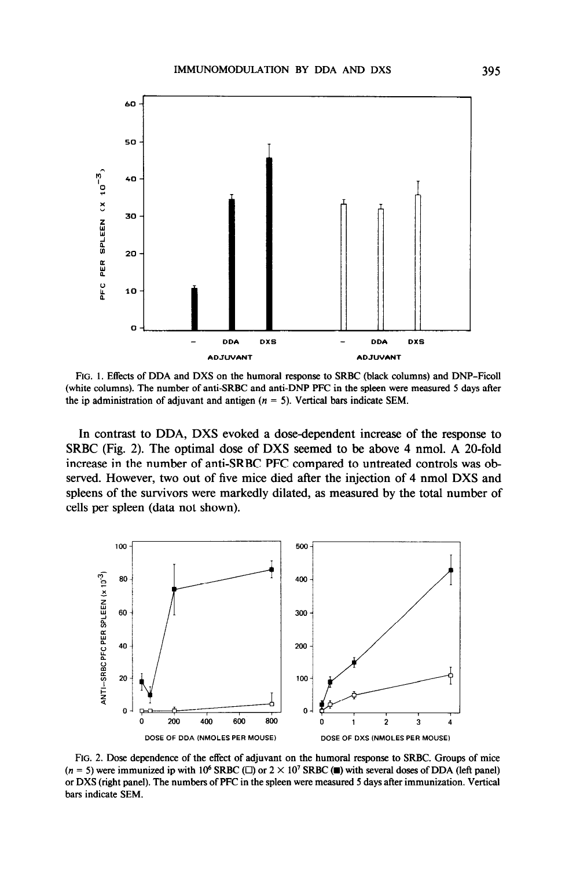

FIG. 1. Effects of DDA and DXS on the humoral response to SRBC (black columns) and DNP-Ficoll (white columns). The number of anti-SRBC and anti-DNP PFC in the spleen were measured 5 days after the ip administration of adjuvant and antigen ( $n = 5$ ). Vertical bars indicate SEM.

In contrast to DDA, DXS evoked a dose-dependent increase of the response to SRBC (Fig. 2). The optimal dose of DXS seemed to be above 4 nmol. A 20-fold increase in the number of anti-SRBC PFC compared to untreated controls was observed. However, two out of five mice died after the injection of 4 nmol DXS and spleens of the survivors were markedly dilated, as measured by the total number of cells per spleen (data not shown).



FIG. 2. Dose dependence of the effect of adjuvant on the humoral response to SRBC. Groups of mice  $(n = 5)$  were immunized ip with 10<sup>6</sup> SRBC ( $\square$ ) or  $2 \times 10^7$  SRBC ( $\square$ ) with several doses of DDA (left panel) or DXS (right panel). The numbers of PFC in the spleen were measured 5 days after immunization. Vertical bars indicate SEM.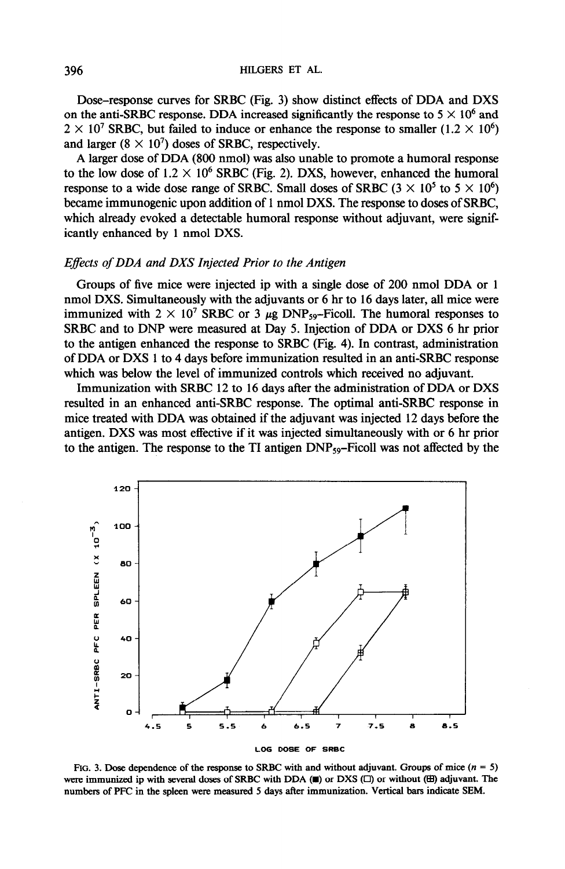Dose-response curves for SRBC (Fig. 3) show distinct effects of DDA and DXS on the anti-SRBC response. DDA increased significantly the response to  $5 \times 10^6$  and  $2 \times 10^7$  SRBC, but failed to induce or enhance the response to smaller (1.2  $\times$  10<sup>6</sup>) and larger  $(8 \times 10^7)$  doses of SRBC, respectively.

A larger dose of DDA (800 nmol) was also unable to promote a humoral response to the low dose of  $1.2 \times 10^6$  SRBC (Fig. 2). DXS, however, enhanced the humoral response to a wide dose range of SRBC. Small doses of SRBC ( $3 \times 10^5$  to  $5 \times 10^6$ ) became immunogenic upon addition of 1 nmol DXS. The response to doses of SRBC, which already evoked a detectable humoral response without adjuvant, were significantly enhanced by 1 nmol DXS.

### Eflects of DDA and DXS Injected Prior to the Antigen

Groups of five mice were injected ip with a single dose of 200 nmol DDA or 1 nmol DXS. Simultaneously with the adjuvants or 6 hr to 16 days later, all mice were immunized with  $2 \times 10^7$  SRBC or 3  $\mu$ g DNP<sub>59</sub>-Ficoll. The humoral responses to SRBC and to DNP were measured at Day 5. Injection of DDA or DXS 6 hr prior to the antigen enhanced the response to SRBC (Fig. 4). In contrast, administration of DDA or DXS 1 to 4 days before immunization resulted in an anti-SRBC response which was below the level of immunized controls which received no adjuvant.

Immunization with SRBC 12 to 16 days after the administration of DDA or DXS resulted in an enhanced anti-SRBC response. The optimal anti-SRBC response in mice treated with DDA was obtained if the adjuvant was injected 12 days before the antigen. DXS was most effective if it was injected simultaneously with or 6 hr prior to the antigen. The response to the TI antigen  $DNP_{59}$ -Ficoll was not affected by the



FIG. 3. Dose dependence of the response to SRBC with and without adjuvant. Groups of mice  $(n = 5)$ were immunized ip with several doses of SRBC with DDA  $(\blacksquare)$  or DXS  $(\square)$  or without  $(\boxplus)$  adjuvant. The numbers of PFC in the spleen were measured 5 days after immunization. Vertical bars indicate SEM.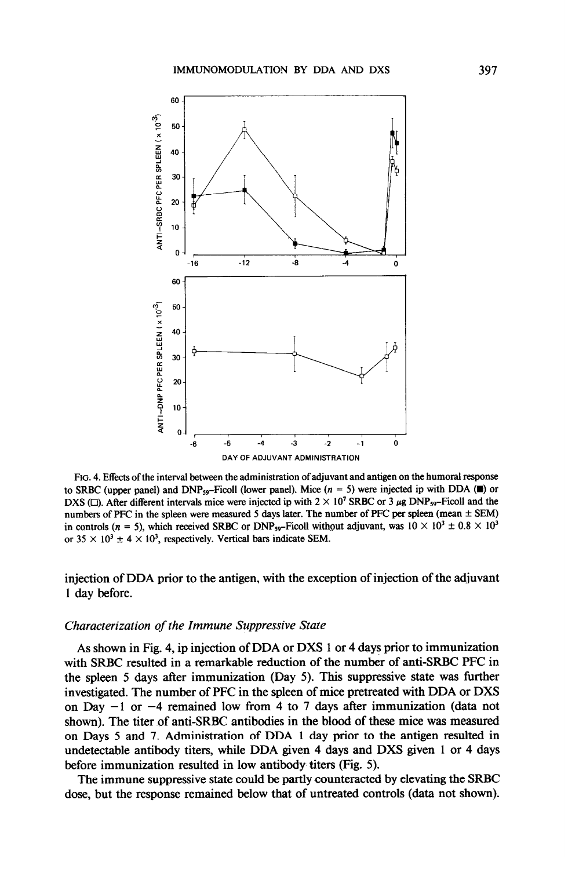

FIG. 4. Effects of the interval between the administration of adjuvant and antigen on the humoral response to SRBC (upper panel) and DNP<sub>59</sub>-Ficoll (lower panel). Mice  $(n = 5)$  were injected ip with DDA ( $\blacksquare$ ) or DXS ( $\Box$ ). After different intervals mice were injected ip with  $2 \times 10^7$  SRBC or 3  $\mu$ g DNP<sub>59</sub>-Ficoll and the numbers of PFC in the spleen were measured 5 days later. The number of PFC per spleen (mean  $\pm$  SEM) in controls (n = 5), which received SRBC or DNP<sub>59</sub>-Ficoll without adjuvant, was  $10 \times 10^3 \pm 0.8 \times 10^3$ or  $35 \times 10^3 \pm 4 \times 10^3$ , respectively. Vertical bars indicate SEM.

injection of DDA prior to the antigen, with the exception of injection of the adjuvant 1 day before.

#### Characterization of the Immune Suppressive State

As shown in Fig. 4, ip injection of DDA or DXS 1 or 4 days prior to immunization with SRBC resulted in a remarkable reduction of the number of anti-SRBC PFC in the spleen 5 days after immunization (Day 5). This suppressive state was further investigated. The number of PFC in the spleen of mice pretreated with DDA or DXS on Day  $-1$  or  $-4$  remained low from 4 to 7 days after immunization (data not shown). The titer of anti-SRBC antibodies in the blood of these mice was measured on Days 5 and 7. Administration of DDA 1 day prior to the antigen resulted in undetectable antibody titers, while DDA given 4 days and DXS given 1 or 4 days before immunization resulted in low antibody titers (Fig. 5).

The immune suppressive state could be partly counteracted by elevating the SRBC dose, but the response remained below that of untreated controls (data not shown).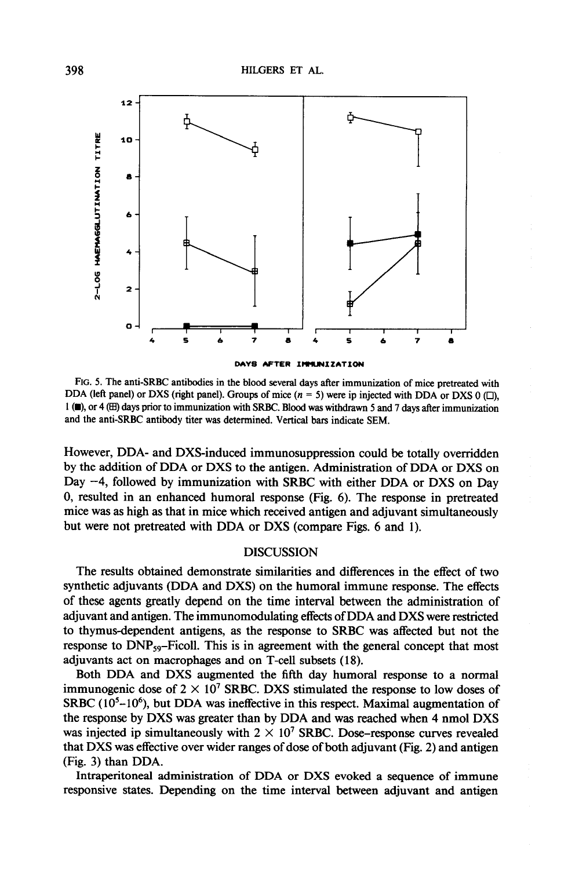

FIG. 5. The anti-SRBC antibodies in the blood several days after immunization of mice pretreated with

DDA (left panel) or DXS (right panel). Groups of mice  $(n = 5)$  were ip injected with DDA or DXS 0 ( $\square$ ), I (m), or 4 (H) days prior to immunization with SRBC. Blood was withdrawn 5 and 7 days after immunization and the anti-SRBC antibody titer was determined. Vertical bars indicate SEM.

However, DDA- and DXS-induced immunosuppression could be totally overridden by the addition of DDA or DXS to the antigen. Administration of DDA or DXS on Day  $-4$ , followed by immunization with SRBC with either DDA or DXS on Day 0, resulted in an enhanced humoral response (Fig. 6). The response in pretreated mice was as high as that in mice which received antigen and adjuvant simultaneously but were not pretreated with DDA or DXS (compare Figs. 6 and 1).

## DISCUSSION

The results obtained demonstrate similarities and differences in the effect of two synthetic adjuvants (DDA and DXS) on the humoral immune response. The effects of these agents greatly depend on the time interval between the administration of adjuvant and antigen. The immunomodulating effects of DDA and DXS were restricted to thymusdependent antigens, as the response to SRBC was affected but not the response to  $DNP_{59}$ -Ficoll. This is in agreement with the general concept that most adjuvants act on macrophages and on T-cell subsets (18).

Both DDA and DXS augmented the fifth day humoral response to a normal immunogenic dose of  $2 \times 10^7$  SRBC. DXS stimulated the response to low doses of SRBC  $(10<sup>5</sup> - 10<sup>6</sup>)$ , but DDA was ineffective in this respect. Maximal augmentation of the response by DXS was greater than by DDA and was reached when 4 nmol DXS was injected ip simultaneously with  $2 \times 10^7$  SRBC. Dose-response curves revealed that DXS was effective over wider ranges of dose of both adjuvant (Fig. 2) and antigen (Fig. 3) than DDA.

Intraperitoneal administration of DDA or DXS evoked a sequence of immune responsive states. Depending on the time interval between adjuvant and antigen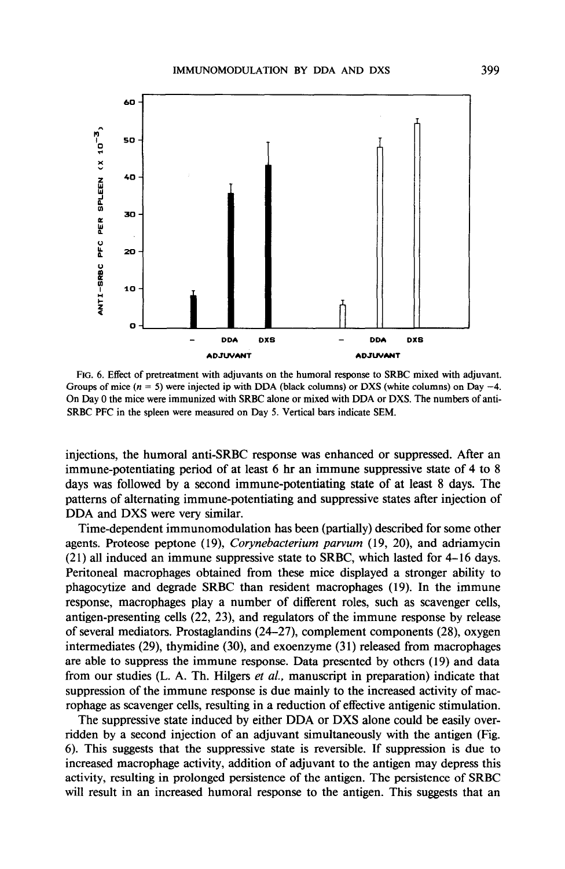

FIG. 6. Effect of pretreatment with adjuvants on the humoral response to SRBC mixed with adjuvant. Groups of mice  $(n = 5)$  were injected ip with DDA (black columns) or DXS (white columns) on Day  $-4$ . On Day 0 the mice were immunized with SRBC alone or mixed with DDA or DXS. The numbers of anti-SRBC PFC in the spleen were measured on Day 5. Vertical bars indicate SEM.

injections, the humoral anti-SRBC response was enhanced or suppressed. After an immune-potentiating period of at least 6 hr an immune suppressive state of 4 to 8 days was followed by a second immune-potentiating state of at least 8 days. The patterns of alternating immune-potentiating and suppressive states after injection of DDA and DXS were very similar.

Time-dependent immunomodulation has been (partially) described for some other agents. Proteose peptone (19), Corynebacterium parvum (19, 20), and adriamycin  $(21)$  all induced an immune suppressive state to SRBC, which lasted for 4–16 days. Peritoneal macrophages obtained from these mice displayed a stronger ability to phagocytize and degrade SRBC than resident macrophages (19). In the immune response, macrophages play a number of different roles, such as scavenger cells, antigen-presenting cells (22, 23), and regulators of the immune response by release of several mediators. Prostaglandins (24-27), complement components (28), oxygen intermediates  $(29)$ , thymidine  $(30)$ , and exoenzyme  $(31)$  released from macrophages are able to suppress the immune response. Data presented by others (19) and data from our studies (L. A. Th. Hilgers et al., manuscript in preparation) indicate that suppression of the immune response is due mainly to the increased activity of macrophage as scavenger cells, resulting in a reduction of effective antigenic stimulation.

The suppressive state induced by either DDA or DXS alone could be easily overridden by a second injection of an adjuvant simultaneously with the antigen (Fig. 6). This suggests that the suppressive state is reversible. If suppression is due to increased macrophage activity, addition of adjuvant to the antigen may depress this activity, resulting in prolonged persistence of the antigen. The persistence of SRBC will result in an increased humoral response to the antigen. This suggests that an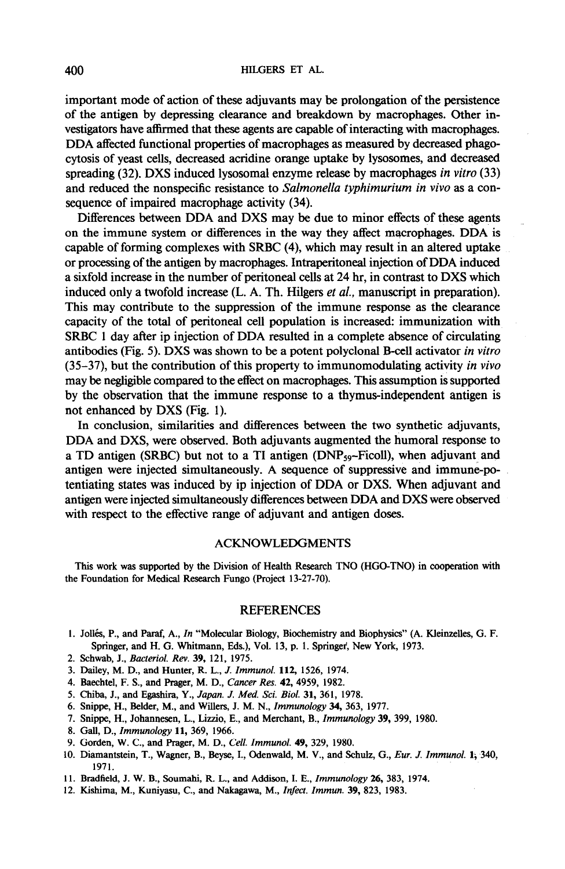important mode of action of these adjuvants may be prolongation of the persistence of the antigen by depressing clearance and breakdown by macrophages. Other investigators have affirmed that these agents are capable of interacting with macrophages. DDA affected functional properties of macrophages as measured by decreased phagocytosis of yeast cells, decreased acridine orange uptake by lysosomes, and decreased spreading (32). DXS induced lysosomal enzyme release by macrophages in vitro (33) and reduced the nonspecific resistance to Salmonella typhimurium in vivo as a consequence of impaired macrophage activity (34).

Differences between DDA and DXS may be due to minor effects of these agents on the immune system or differences in the way they affect macrophages. DDA is capable of forming complexes with SRBC (4), which may result in an altered uptake or processing of the antigen by macrophages. Intraperitoneal injection of DDA induced a sixfold increase in the number of peritoneal cells at 24 hr, in contrast to DXS which induced only a twofold increase (L. A. Th. Hilgers et al., manuscript in preparation). This may contribute to the suppression of the immune response as the clearance capacity of the total of peritoneal cell population is increased: immunization with SRBC 1 day after ip injection of DDA resulted in a complete absence of circulating antibodies (Fig. 5). DXS was shown to be a potent polyclonal B-cell activator in vitro  $(35-37)$ , but the contribution of this property to immunomodulating activity in vivo may be negligible compared to the effect on macrophages. This assumption is supported by the observation that the immune response to a thymus-independent antigen is not enhanced by DXS (Fig. 1).

In conclusion, similarities and differences between the two synthetic adjuvants, DDA and DXS, were observed. Both adjuvants augmented the humoral response to a TD antigen (SRBC) but not to a TI antigen (DNP<sub>59</sub>-Ficoll), when adjuvant and antigen were injected simultaneously. A sequence of suppressive and immune-potentiating states was induced by ip injection of DDA or DXS. When adjuvant and antigen were injected simultaneously differences between DDA and DXS were observed with respect to the effective range of adjuvant and antigen doses.

### ACKNOWLEDGMENTS

This work was supported by the Division of Health Research TN0 (HGG-TNO) in cooperation with the Foundation for Medical Research Fungo (Project 13-27-70).

#### REFERENCES

- 1. Jollés, P., and Paraf, A., In "Molecular Biology, Biochemistry and Biophysics" (A. Kleinzelles, G. F. Springer, and H. G. Whitmann, Eds.), Vol. 13, p. 1. Springer, New York, 1973.
- 2. Schwab, J., Bacteriol. Rev. 39, 121, 1975.
- 3. Dailey, M. D., and Hunter, R. L., J. Immunol. 112, 1526, 1974.
- 4. Baechtel, F. S., and Prager, M. D., Cancer Res. 42, 4959, 1982.
- 5. Chiba, J., and Egashira, Y., Japan. J. Med. Sci. Biol. 31, 361, 1978.
- 6. Snippe, H., BeIder, M., and Willers, J. M. N., Immunology 34, 363, 1977.
- 7. Snippe, H., Johannesen, L., Lizrio, E., and Merchant, B., Immunology 39, 399, 1980.
- 8. Gall, D., Immunology 11, 369, 1966.
- 9. Gorden, W. C., and Prager, M. D., Cell. Immunol. 49, 329, 1980.
- 10. Diamantstein, T., Wagner, B., Beyse, I., Odenwald, M. V., and Schulz, G., Eur. J. Immunol. 1; 340, 1971.
- Il. Bradfield, J. W. B., Soumahi, R. L., and Addison, I. E., Immunology 26, 383, 1974.
- 12. Kishima, M., Kuniyasu, C., and Nakagawa, M., Infect. Immun. 39, 823, 1983.